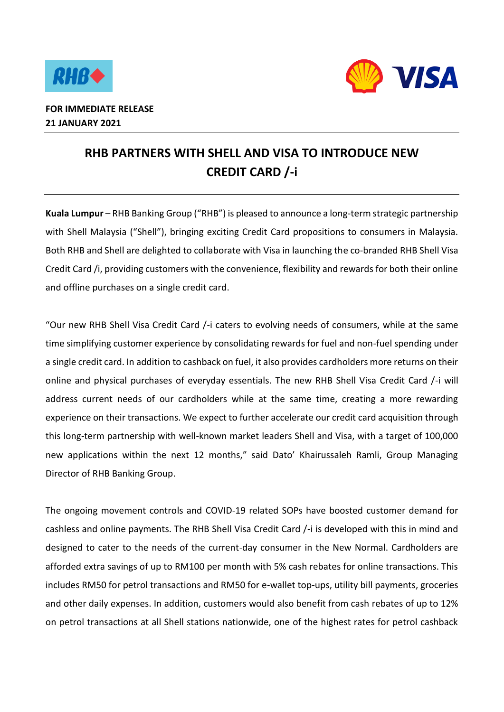



## **RHB PARTNERS WITH SHELL AND VISA TO INTRODUCE NEW CREDIT CARD /-i**

**Kuala Lumpur** – RHB Banking Group ("RHB") is pleased to announce a long-term strategic partnership with Shell Malaysia ("Shell"), bringing exciting Credit Card propositions to consumers in Malaysia. Both RHB and Shell are delighted to collaborate with Visa in launching the co-branded RHB Shell Visa Credit Card /i, providing customers with the convenience, flexibility and rewards for both their online and offline purchases on a single credit card.

"Our new RHB Shell Visa Credit Card /-i caters to evolving needs of consumers, while at the same time simplifying customer experience by consolidating rewards for fuel and non-fuel spending under a single credit card. In addition to cashback on fuel, it also provides cardholders more returns on their online and physical purchases of everyday essentials. The new RHB Shell Visa Credit Card /-i will address current needs of our cardholders while at the same time, creating a more rewarding experience on their transactions. We expect to further accelerate our credit card acquisition through this long-term partnership with well-known market leaders Shell and Visa, with a target of 100,000 new applications within the next 12 months," said Dato' Khairussaleh Ramli, Group Managing Director of RHB Banking Group.

The ongoing movement controls and COVID-19 related SOPs have boosted customer demand for cashless and online payments. The RHB Shell Visa Credit Card /-i is developed with this in mind and designed to cater to the needs of the current-day consumer in the New Normal. Cardholders are afforded extra savings of up to RM100 per month with 5% cash rebates for online transactions. This includes RM50 for petrol transactions and RM50 for e-wallet top-ups, utility bill payments, groceries and other daily expenses. In addition, customers would also benefit from cash rebates of up to 12% on petrol transactions at all Shell stations nationwide, one of the highest rates for petrol cashback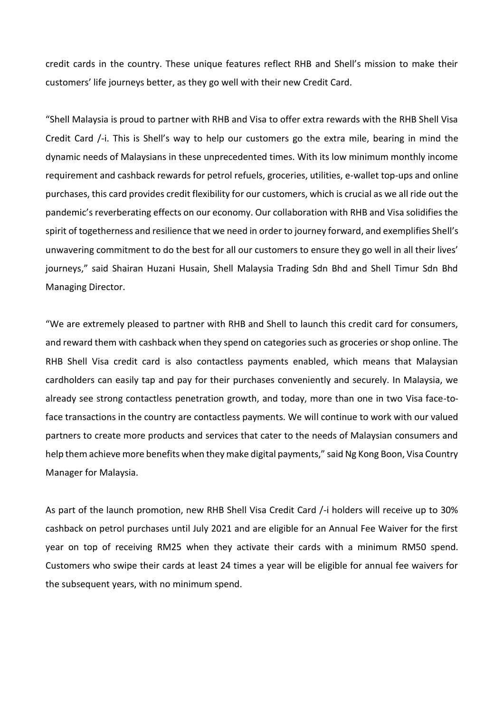credit cards in the country. These unique features reflect RHB and Shell's mission to make their customers' life journeys better, as they go well with their new Credit Card.

"Shell Malaysia is proud to partner with RHB and Visa to offer extra rewards with the RHB Shell Visa Credit Card /-i. This is Shell's way to help our customers go the extra mile, bearing in mind the dynamic needs of Malaysians in these unprecedented times. With its low minimum monthly income requirement and cashback rewards for petrol refuels, groceries, utilities, e-wallet top-ups and online purchases, this card provides credit flexibility for our customers, which is crucial as we all ride out the pandemic's reverberating effects on our economy. Our collaboration with RHB and Visa solidifies the spirit of togetherness and resilience that we need in order to journey forward, and exemplifies Shell's unwavering commitment to do the best for all our customers to ensure they go well in all their lives' journeys," said Shairan Huzani Husain, Shell Malaysia Trading Sdn Bhd and Shell Timur Sdn Bhd Managing Director.

"We are extremely pleased to partner with RHB and Shell to launch this credit card for consumers, and reward them with cashback when they spend on categories such as groceries or shop online. The RHB Shell Visa credit card is also contactless payments enabled, which means that Malaysian cardholders can easily tap and pay for their purchases conveniently and securely. In Malaysia, we already see strong contactless penetration growth, and today, more than one in two Visa face-toface transactions in the country are contactless payments. We will continue to work with our valued partners to create more products and services that cater to the needs of Malaysian consumers and help them achieve more benefits when they make digital payments," said Ng Kong Boon, Visa Country Manager for Malaysia.

As part of the launch promotion, new RHB Shell Visa Credit Card /-i holders will receive up to 30% cashback on petrol purchases until July 2021 and are eligible for an Annual Fee Waiver for the first year on top of receiving RM25 when they activate their cards with a minimum RM50 spend. Customers who swipe their cards at least 24 times a year will be eligible for annual fee waivers for the subsequent years, with no minimum spend.